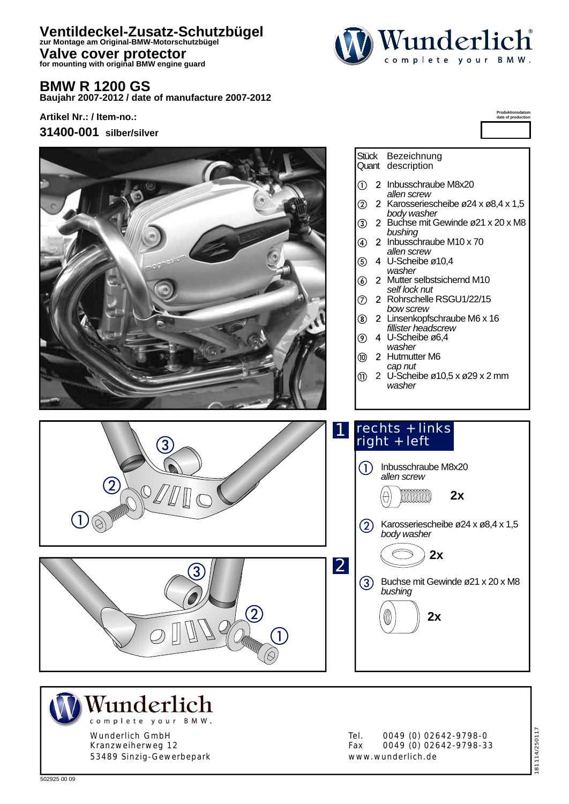## **Ventildeckel-Zusatz-Schutzbügel zur Montage am Original-BMW-Motorschutzbügel**

**Valve cover protector for mounting with original BMW engine guard**

#### **BMW R 1200 GS**

**Baujahr 2007-2012 / date of manufacture 2007-2012**

**Artikel Nr.: / Item-no.:**







Kranzweiherweg 12 53489 Sinzig-Gewerbepark Tel. 0049 (0) 02642-9798-0<br>Fax 0049 (0) 02642-9798-3 0049 (0) 02642-9798-33 www.wunderlich.de

181114/250117 81114/250117



**Produktionsdatum date of production**